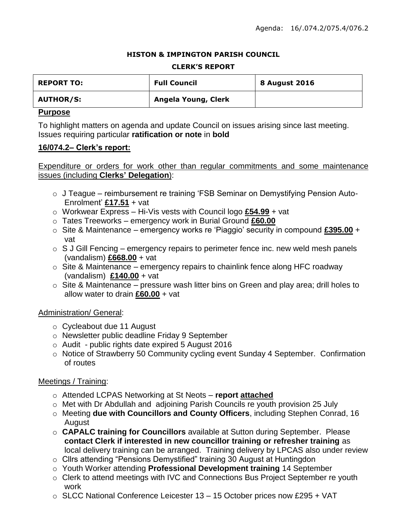## **HISTON & IMPINGTON PARISH COUNCIL**

#### **CLERK'S REPORT**

| <b>REPORT TO:</b> | <b>Full Council</b> | <b>8 August 2016</b> |
|-------------------|---------------------|----------------------|
| <b>AUTHOR/S:</b>  | Angela Young, Clerk |                      |

## **Purpose**

To highlight matters on agenda and update Council on issues arising since last meeting. Issues requiring particular **ratification or note** in **bold**

# **16/074.2– Clerk's report:**

Expenditure or orders for work other than regular commitments and some maintenance issues (including **Clerks' Delegation**):

- o J Teague reimbursement re training 'FSB Seminar on Demystifying Pension Auto-Enrolment' **£17.51** + vat
- o Workwear Express Hi-Vis vests with Council logo **£54.99** + vat
- o Tates Treeworks emergency work in Burial Ground **£60.00**
- o Site & Maintenance emergency works re 'Piaggio' security in compound **£395.00** + vat
- $\circ$  S J Gill Fencing emergency repairs to perimeter fence inc. new weld mesh panels (vandalism) **£668.00** + vat
- $\circ$  Site & Maintenance emergency repairs to chainlink fence along HFC roadway (vandalism) **£140.00** + vat
- $\circ$  Site & Maintenance pressure wash litter bins on Green and play area; drill holes to allow water to drain **£60.00** + vat

# Administration/ General:

- o Cycleabout due 11 August
- o Newsletter public deadline Friday 9 September
- o Audit public rights date expired 5 August 2016
- o Notice of Strawberry 50 Community cycling event Sunday 4 September. Confirmation of routes

# Meetings / Training:

- o Attended LCPAS Networking at St Neots **report attached**
- o Met with Dr Abdullah and adjoining Parish Councils re youth provision 25 July
- o Meeting **due with Councillors and County Officers**, including Stephen Conrad, 16 August
- o **CAPALC training for Councillors** available at Sutton during September. Please **contact Clerk if interested in new councillor training or refresher training** as local delivery training can be arranged. Training delivery by LPCAS also under review
- o Cllrs attending "Pensions Demystified" training 30 August at Huntingdon
- o Youth Worker attending **Professional Development training** 14 September
- o Clerk to attend meetings with IVC and Connections Bus Project September re youth work
- o SLCC National Conference Leicester 13 15 October prices now £295 + VAT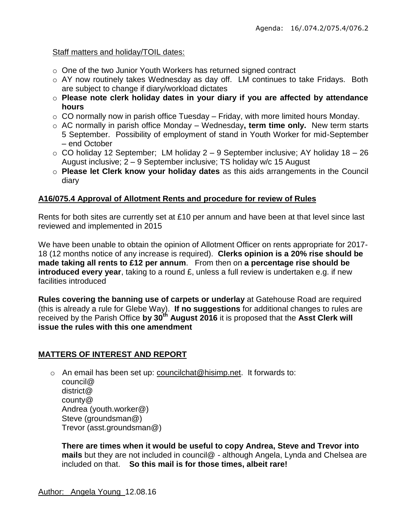## Staff matters and holiday/TOIL dates:

- o One of the two Junior Youth Workers has returned signed contract
- o AY now routinely takes Wednesday as day off. LM continues to take Fridays. Both are subject to change if diary/workload dictates
- o **Please note clerk holiday dates in your diary if you are affected by attendance hours**
- $\circ$  CO normally now in parish office Tuesday Friday, with more limited hours Monday.
- o AC normally in parish office Monday Wednesday**, term time only.** New term starts 5 September. Possibility of employment of stand in Youth Worker for mid-September – end October
- $\circ$  CO holiday 12 September; LM holiday 2 9 September inclusive; AY holiday 18 26 August inclusive; 2 – 9 September inclusive; TS holiday w/c 15 August
- o **Please let Clerk know your holiday dates** as this aids arrangements in the Council diary

## **A16/075.4 Approval of Allotment Rents and procedure for review of Rules**

Rents for both sites are currently set at £10 per annum and have been at that level since last reviewed and implemented in 2015

We have been unable to obtain the opinion of Allotment Officer on rents appropriate for 2017- 18 (12 months notice of any increase is required). **Clerks opinion is a 20% rise should be made taking all rents to £12 per annum**. From then on **a percentage rise should be introduced every year**, taking to a round £, unless a full review is undertaken e.g. if new facilities introduced

**Rules covering the banning use of carpets or underlay** at Gatehouse Road are required (this is already a rule for Glebe Way). **If no suggestions** for additional changes to rules are received by the Parish Office **by 30th August 2016** it is proposed that the **Asst Clerk will issue the rules with this one amendment**

## **MATTERS OF INTEREST AND REPORT**

o An email has been set up: [councilchat@hisimp.net.](mailto:councilchat@hisimp.net) It forwards to: council@ district@ county@ Andrea (youth.worker@) Steve (groundsman@) Trevor (asst.groundsman@)

**There are times when it would be useful to copy Andrea, Steve and Trevor into mails** but they are not included in council@ - although Angela, Lynda and Chelsea are included on that. **So this mail is for those times, albeit rare!**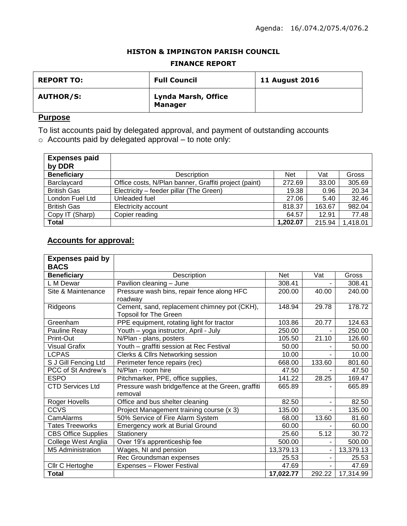#### **HISTON & IMPINGTON PARISH COUNCIL**

#### **FINANCE REPORT**

| <b>REPORT TO:</b> | <b>Full Council</b>                   | <b>11 August 2016</b> |
|-------------------|---------------------------------------|-----------------------|
| <b>AUTHOR/S:</b>  | Lynda Marsh, Office<br><b>Manager</b> |                       |

# **Purpose**

To list accounts paid by delegated approval, and payment of outstanding accounts

o Accounts paid by delegated approval – to note only:

| <b>Expenses paid</b><br>by DDR |                                                       |            |        |          |
|--------------------------------|-------------------------------------------------------|------------|--------|----------|
| <b>Beneficiary</b>             | <b>Description</b>                                    | <b>Net</b> | Vat    | Gross    |
| Barclaycard                    | Office costs, N/Plan banner, Graffiti project (paint) | 272.69     | 33.00  | 305.69   |
| <b>British Gas</b>             | Electricity - feeder pillar (The Green)               | 19.38      | 0.96   | 20.34    |
| London Fuel Ltd                | Unleaded fuel                                         | 27.06      | 5.40   | 32.46    |
| <b>British Gas</b>             | Electricity account                                   | 818.37     | 163.67 | 982.04   |
| Copy IT (Sharp)                | Copier reading                                        | 64.57      | 12.91  | 77.48    |
| <b>Total</b>                   |                                                       | 1,202.07   | 215.94 | 1,418.01 |

# **Accounts for approval:**

| <b>Expenses paid by</b><br><b>BACS</b> |                                                                              |            |        |           |
|----------------------------------------|------------------------------------------------------------------------------|------------|--------|-----------|
| <b>Beneficiary</b>                     | Description                                                                  | <b>Net</b> | Vat    | Gross     |
| L M Dewar                              | Pavilion cleaning - June                                                     | 308.41     |        | 308.41    |
| Site & Maintenance                     | Pressure wash bins, repair fence along HFC<br>roadway                        | 200.00     | 40.00  | 240.00    |
| Ridgeons                               | Cement, sand, replacement chimney pot (CKH),<br><b>Topsoil for The Green</b> | 148.94     | 29.78  | 178.72    |
| Greenham                               | PPE equipment, rotating light for tractor                                    | 103.86     | 20.77  | 124.63    |
| Pauline Reay                           | Youth - yoga instructor, April - July                                        | 250.00     |        | 250.00    |
| Print-Out                              | N/Plan - plans, posters                                                      | 105.50     | 21.10  | 126.60    |
| <b>Visual Grafix</b>                   | Youth - graffiti session at Rec Festival                                     | 50.00      |        | 50.00     |
| <b>LCPAS</b>                           | Clerks & Cllrs Networking session                                            | 10.00      |        | 10.00     |
| S J Gill Fencing Ltd                   | Perimeter fence repairs (rec)                                                | 668.00     | 133.60 | 801.60    |
| PCC of St Andrew's                     | N/Plan - room hire                                                           | 47.50      |        | 47.50     |
| <b>ESPO</b>                            | Pitchmarker, PPE, office supplies,                                           | 141.22     | 28.25  | 169.47    |
| <b>CTD Services Ltd</b>                | Pressure wash bridge/fence at the Green, graffiti<br>removal                 | 665.89     |        | 665.89    |
| Roger Hovells                          | Office and bus shelter cleaning                                              | 82.50      | ۰      | 82.50     |
| CCVS                                   | Project Management training course (x 3)                                     | 135.00     |        | 135.00    |
| CamAlarms                              | 50% Service of Fire Alarm System                                             | 68.00      | 13.60  | 81.60     |
| <b>Tates Treeworks</b>                 | <b>Emergency work at Burial Ground</b>                                       | 60.00      |        | 60.00     |
| <b>CBS Office Supplies</b>             | Stationery                                                                   | 25.60      | 5.12   | 30.72     |
| College West Anglia                    | Over 19's apprenticeship fee                                                 | 500.00     |        | 500.00    |
| M5 Administration                      | Wages, NI and pension                                                        | 13,379.13  | ٠      | 13,379.13 |
|                                        | Rec Groundsman expenses                                                      | 25.53      | ٠      | 25.53     |
| Cllr C Hertoghe                        | Expenses - Flower Festival                                                   | 47.69      | ÷.     | 47.69     |
| <b>Total</b>                           |                                                                              | 17,022.77  | 292.22 | 17,314.99 |